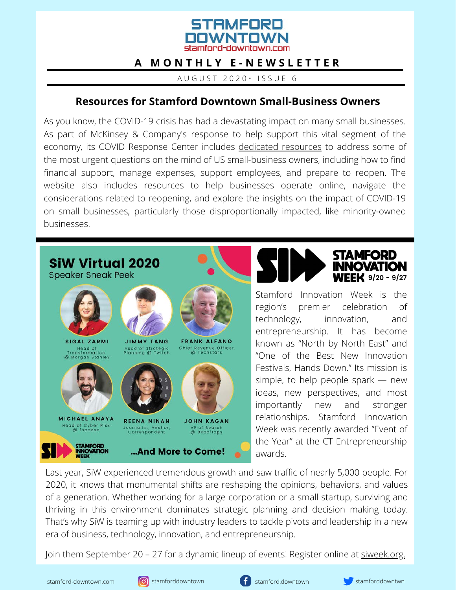

## **A M O N T H L Y E - N E W S L E T T E R**

A U G U S T 2 0 2 0 • I S S U E 6

### **Resources for Stamford Downtown Small-Business Owners**

As you know, the COVID-19 crisis has had a devastating impact on many small businesses. As part of McKinsey & Company's response to help support this vital segment of the economy, its COVID Response Center includes [dedicated resources](https://covid-small-business.mckinsey.com/en/overview/) to address some of the most urgent questions on the mind of US small-business owners, including how to find financial support, manage expenses, support employees, and prepare to reopen. The website also includes resources to help businesses operate online, navigate the considerations related to reopening, and explore the insights on the impact of COVID-19 on small businesses, particularly those disproportionally impacted, like minority-owned businesses.



Last year, SiW experienced tremendous growth and saw traffic of nearly 5,000 people. For 2020, it knows that monumental shifts are reshaping the opinions, behaviors, and values of a generation. Whether working for a large corporation or a small startup, surviving and thriving in this environment dominates strategic planning and decision making today. That's why SiW is teaming up with industry leaders to tackle pivots and leadership in a new era of business, technology, innovation, and entrepreneurship.

Join them September 20 – 27 for a dynamic lineup of events! Register online at [siweek.org.](https://siweek.org/2020-tickets/)





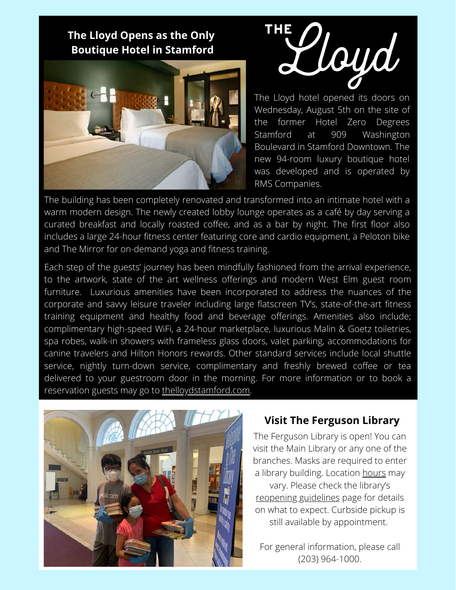**The Lloyd Opens as the Only Boutique Hotel in Stamford**





The Lloyd hotel opened its doors on Wednesday, August 5th on the site of the former Hotel Zero Degrees Stamford at 909 Washington Boulevard in Stamford Downtown. The new 94-room luxury boutique hotel was developed and is operated by RMS Companies.

The building has been completely renovated and transformed into an intimate hotel with a warm modern design. The newly created lobby lounge operates as a café by day serving a curated breakfast and locally roasted coffee, and as a bar by night. The first floor also includes a large 24-hour fitness center featuring core and cardio equipment, a Peloton bike and The Mirror for on-demand yoga and fitness training.

Each step of the guests' journey has been mindfully fashioned from the arrival experience, to the artwork, state of the art wellness offerings and modern West Elm guest room furniture. Luxurious amenities have been incorporated to address the nuances of the corporate and savvy leisure traveler including large flatscreen TV's, state-of-the-art fitness training equipment and healthy food and beverage offerings. Amenities also include; complimentary high-speed WiFi, a 24-hour marketplace, luxurious Malin & Goetz toiletries, spa robes, walk-in showers with frameless glass doors, valet parking, accommodations for canine travelers and Hilton Honors rewards. Other standard services include local shuttle service, nightly turn-down service, complimentary and freshly brewed coffee or tea delivered to your guestroom door in the morning. For more information or to book a reservation guests may go to [thelloydstamford.com.](http://www.thelloydstamford.com/)



### **Visit The Ferguson Library**

The Ferguson Library is open! You can visit the Main Library or any one of the branches. Masks are required to enter a library building. Location [hours](https://fergusonlibrary.org/locations/) may vary. Please check the library's [reopening guidelines](https://fergusonlibrary.org/reopening-guidelines/) page for details on what to expect. Curbside pickup is still available by appointment.

For general information, please call (203) 964-1000.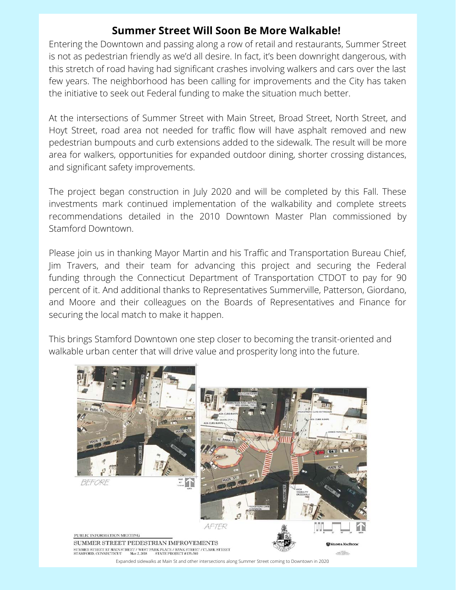## **Summer Street Will Soon Be More Walkable!**

Entering the Downtown and passing along a row of retail and restaurants, Summer Street is not as pedestrian friendly as we'd all desire. In fact, it's been downright dangerous, with this stretch of road having had significant crashes involving walkers and cars over the last few years. The neighborhood has been calling for improvements and the City has taken the initiative to seek out Federal funding to make the situation much better.

At the intersections of Summer Street with Main Street, Broad Street, North Street, and Hoyt Street, road area not needed for traffic flow will have asphalt removed and new pedestrian bumpouts and curb extensions added to the sidewalk. The result will be more area for walkers, opportunities for expanded outdoor dining, shorter crossing distances, and significant safety improvements.

The project began construction in July 2020 and will be completed by this Fall. These investments mark continued implementation of the walkability and complete streets recommendations detailed in the 2010 Downtown Master Plan commissioned by Stamford Downtown.

Please join us in thanking Mayor Martin and his Traffic and Transportation Bureau Chief, Jim Travers, and their team for advancing this project and securing the Federal funding through the Connecticut Department of Transportation CTDOT to pay for 90 percent of it. And additional thanks to Representatives Summerville, Patterson, Giordano, and Moore and their colleagues on the Boards of Representatives and Finance for securing the local match to make it happen.

This brings Stamford Downtown one step closer to becoming the transit-oriented and walkable urban center that will drive value and prosperity long into the future.